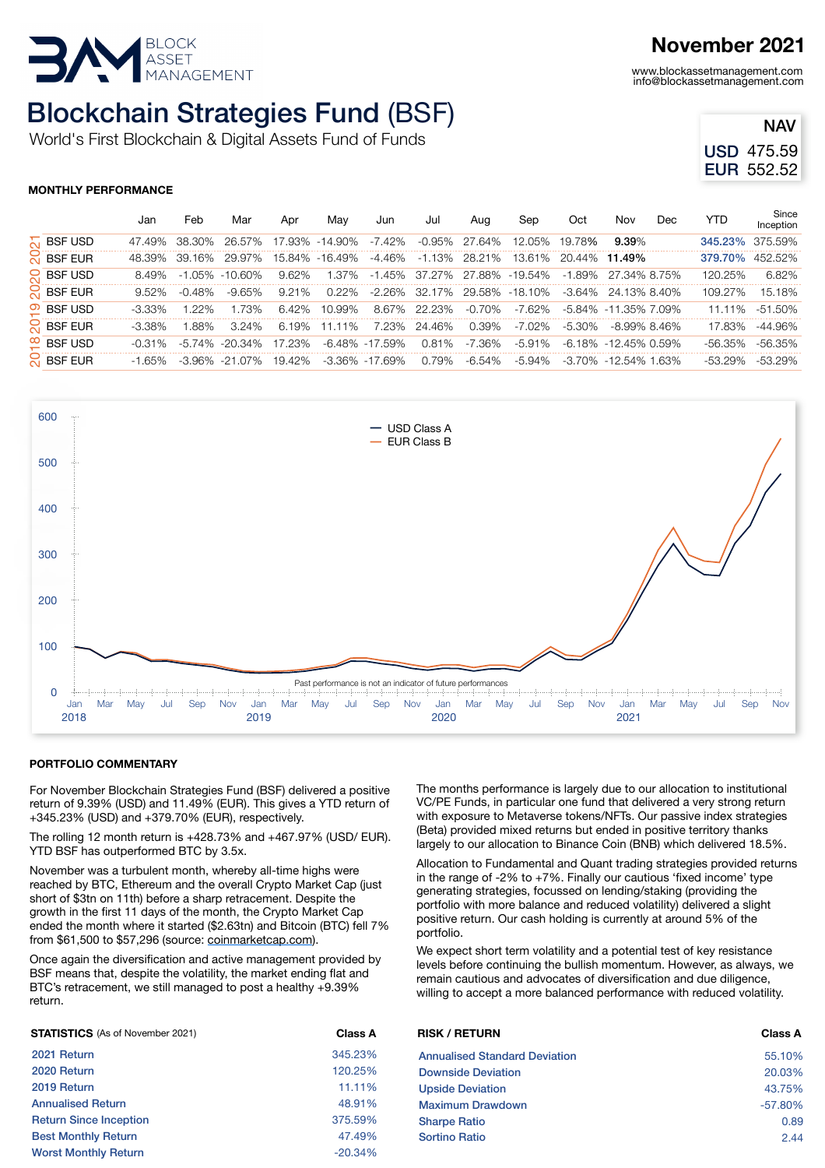

# Blockchain Strategies Fund (BSF)

World's First Blockchain & Digital Assets Fund of Funds

### **November 2021**

www.blockassetmanagement.com info@blockassetmanagement.com

| NAV               |
|-------------------|
| USD 475.59        |
| <b>EUR 552.52</b> |

### **MONTHLY PERFORMANCE**

|                                           |                        | Jan       | Feb       | Mar                | Apr    | May            | Jun                | Jul          | Aug           | Sep                   | Oct                  | Nov                        | Dec | YTD             | Since<br>Inception |
|-------------------------------------------|------------------------|-----------|-----------|--------------------|--------|----------------|--------------------|--------------|---------------|-----------------------|----------------------|----------------------------|-----|-----------------|--------------------|
| $\sim$<br>င္လ<br>ನ<br>$\overline{\Omega}$ | <b>BSF USD</b>         | 47.49%    | -38.30%   | 26.57%             |        | 17.93% -14.90% | -7.42%             |              | -0.95% 27.64% | 12.05%                | 19.78%               | $9.39\%$                   |     | 345.23%         | 375.59%            |
|                                           | <b>BSF EUR</b>         | 48.39%    | 39.16%    | - 29.97%           |        | 15.84% -16.49% | -4.46%             |              | -1.13% 28.21% | 13.61%                | 20.44% <b>11.49%</b> |                            |     | 379.70% 452.52% |                    |
|                                           | <b>BSF USD</b>         | 8.49%     |           | -1.05% -10.60%     | 9.62%  | 1.37%          | 45%<br>-1          |              |               | 37.27% 27.88% -19.54% |                      | $-1.89\%$ 27.34% 8.75%     |     | 120.25%         | 6.82%              |
|                                           | <b>BSF EUR</b>         | 9.52%     | $-0.48\%$ | $-9.65\%$          | 9.21%  | $0.22\%$       | -2.26%             |              |               | 32.17% 29.58% -18.10% |                      | $-3.64\%$ 24.13% 8.40%     |     | 109.27%         | 15.18%             |
|                                           | $\overline{O}$ BSF USD | $-3.33\%$ | 22%       | 1.73%              | 6.42%  | 10.99%         | 8.67%              | 22.23%       | $-0.70\%$     | -7.62%                |                      | -5.84% -11.35% 7.09%       |     | 11.11%          | $-51.50\%$         |
|                                           | <b>BSF EUR</b>         | $-3.38\%$ | .88%      | $3.24\%$           | 6.19%  | 11.11%         |                    | 7.23% 24.46% | 0.39%         | -7.02%                | -5.30%               | -8.99% 8.46%               |     | 17.83%          | -44.96%            |
|                                           | $\infty$ BSF USD       | $-0.31\%$ |           | $-5.74\% -20.34\%$ | 17.23% |                | -6.48% -17.59%     | 0.81%        | -7.36%        | $-5.91\%$             |                      | $-6.18\% -12.45\%$ 0.59%   |     | $-56.35\%$      | $-56.35\%$         |
|                                           | <b>O</b> BSF EUR       | $-1.65\%$ |           | $-3.96\% -21.07\%$ | 19.42% |                | $-3.36\% -17.69\%$ | 0.79%        | -6.54%        | -5.94%                |                      | $-3.70\% -12.54\% -1.63\%$ |     | $-53.29\%$      | -53.29%            |
|                                           |                        |           |           |                    |        |                |                    |              |               |                       |                      |                            |     |                 |                    |



#### **PORTFOLIO COMMENTARY**

For November Blockchain Strategies Fund (BSF) delivered a positive return of 9.39% (USD) and 11.49% (EUR). This gives a YTD return of +345.23% (USD) and +379.70% (EUR), respectively.

The rolling 12 month return is +428.73% and +467.97% (USD/ EUR). YTD BSF has outperformed BTC by 3.5x.

November was a turbulent month, whereby all-time highs were reached by BTC, Ethereum and the overall Crypto Market Cap (just short of \$3tn on 11th) before a sharp retracement. Despite the growth in the first 11 days of the month, the Crypto Market Cap ended the month where it started (\$2.63tn) and Bitcoin (BTC) fell 7% from \$61,500 to \$57,296 (source: [coinmarketcap.com](http://coinmarketcap.com/)).

Once again the diversification and active management provided by BSF means that, despite the volatility, the market ending flat and BTC's retracement, we still managed to post a healthy +9.39% return.

| <b>STATISTICS</b> (As of November 2021) | <b>Class A</b> | <b>RISK / RETURN</b>                 | <b>Class A</b> |
|-----------------------------------------|----------------|--------------------------------------|----------------|
| 2021 Return                             | 345.23%        | <b>Annualised Standard Deviation</b> | 55.10%         |
| 2020 Return                             | 120.25%        | <b>Downside Deviation</b>            | 20.03%         |
| 2019 Return                             | 11.11%         | <b>Upside Deviation</b>              | 43.75%         |
| <b>Annualised Return</b>                | 48.91%         | <b>Maximum Drawdown</b>              | $-57.80%$      |
| <b>Return Since Inception</b>           | 375.59%        | <b>Sharpe Ratio</b>                  | 0.89           |
| <b>Best Monthly Return</b>              | 47.49%         | <b>Sortino Ratio</b>                 | 2.44           |
| <b>Worst Monthly Return</b>             | $-20.34\%$     |                                      |                |

The months performance is largely due to our allocation to institutional VC/PE Funds, in particular one fund that delivered a very strong return with exposure to Metaverse tokens/NFTs. Our passive index strategies (Beta) provided mixed returns but ended in positive territory thanks largely to our allocation to Binance Coin (BNB) which delivered 18.5%.

Allocation to Fundamental and Quant trading strategies provided returns in the range of -2% to +7%. Finally our cautious 'fixed income' type generating strategies, focussed on lending/staking (providing the portfolio with more balance and reduced volatility) delivered a slight positive return. Our cash holding is currently at around 5% of the portfolio.

We expect short term volatility and a potential test of key resistance levels before continuing the bullish momentum. However, as always, we remain cautious and advocates of diversification and due diligence, willing to accept a more balanced performance with reduced volatility.

| <b>RISK / RETURN</b>                 | Class A   |
|--------------------------------------|-----------|
| <b>Annualised Standard Deviation</b> | 55.10%    |
| <b>Downside Deviation</b>            | 20.03%    |
| <b>Upside Deviation</b>              | 43.75%    |
| <b>Maximum Drawdown</b>              | $-57.80%$ |
| <b>Sharpe Ratio</b>                  | 0.89      |
| <b>Sortino Ratio</b>                 | 2.44      |
|                                      |           |